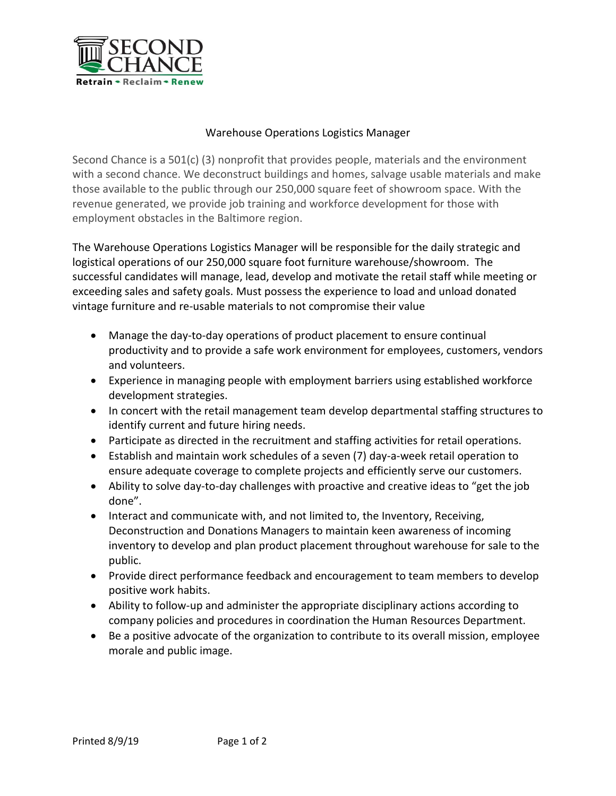

## Warehouse Operations Logistics Manager

Second Chance is a 501(c) (3) nonprofit that provides people, materials and the environment with a second chance. We deconstruct buildings and homes, salvage usable materials and make those available to the public through our 250,000 square feet of showroom space. With the revenue generated, we provide job training and workforce development for those with employment obstacles in the Baltimore region.

The Warehouse Operations Logistics Manager will be responsible for the daily strategic and logistical operations of our 250,000 square foot furniture warehouse/showroom. The successful candidates will manage, lead, develop and motivate the retail staff while meeting or exceeding sales and safety goals. Must possess the experience to load and unload donated vintage furniture and re-usable materials to not compromise their value

- Manage the day-to-day operations of product placement to ensure continual productivity and to provide a safe work environment for employees, customers, vendors and volunteers.
- Experience in managing people with employment barriers using established workforce development strategies.
- In concert with the retail management team develop departmental staffing structures to identify current and future hiring needs.
- Participate as directed in the recruitment and staffing activities for retail operations.
- Establish and maintain work schedules of a seven (7) day-a-week retail operation to ensure adequate coverage to complete projects and efficiently serve our customers.
- Ability to solve day-to-day challenges with proactive and creative ideas to "get the job done".
- Interact and communicate with, and not limited to, the Inventory, Receiving, Deconstruction and Donations Managers to maintain keen awareness of incoming inventory to develop and plan product placement throughout warehouse for sale to the public.
- Provide direct performance feedback and encouragement to team members to develop positive work habits.
- Ability to follow-up and administer the appropriate disciplinary actions according to company policies and procedures in coordination the Human Resources Department.
- Be a positive advocate of the organization to contribute to its overall mission, employee morale and public image.